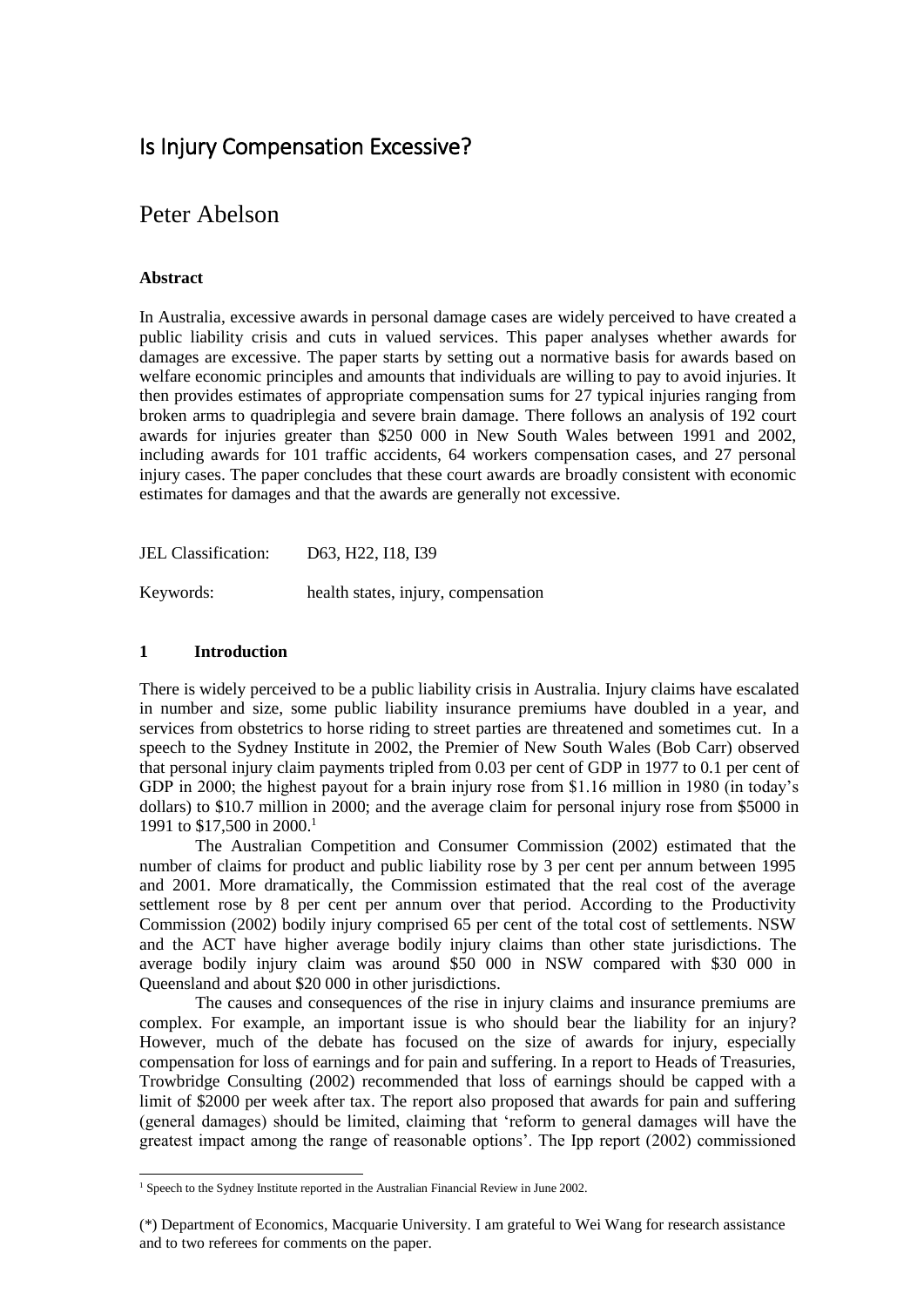# Is Injury Compensation Excessive?

# Peter Abelson

## **Abstract**

In Australia, excessive awards in personal damage cases are widely perceived to have created a public liability crisis and cuts in valued services. This paper analyses whether awards for damages are excessive. The paper starts by setting out a normative basis for awards based on welfare economic principles and amounts that individuals are willing to pay to avoid injuries. It then provides estimates of appropriate compensation sums for 27 typical injuries ranging from broken arms to quadriplegia and severe brain damage. There follows an analysis of 192 court awards for injuries greater than \$250 000 in New South Wales between 1991 and 2002, including awards for 101 traffic accidents, 64 workers compensation cases, and 27 personal injury cases. The paper concludes that these court awards are broadly consistent with economic estimates for damages and that the awards are generally not excessive.

JEL Classification: D63, H22, I18, I39

Keywords: health states, injury, compensation

### **1 Introduction**

l

There is widely perceived to be a public liability crisis in Australia. Injury claims have escalated in number and size, some public liability insurance premiums have doubled in a year, and services from obstetrics to horse riding to street parties are threatened and sometimes cut. In a speech to the Sydney Institute in 2002, the Premier of New South Wales (Bob Carr) observed that personal injury claim payments tripled from 0.03 per cent of GDP in 1977 to 0.1 per cent of GDP in 2000; the highest payout for a brain injury rose from \$1.16 million in 1980 (in today's dollars) to \$10.7 million in 2000; and the average claim for personal injury rose from \$5000 in 1991 to \$17,500 in 2000.<sup>1</sup>

The Australian Competition and Consumer Commission (2002) estimated that the number of claims for product and public liability rose by 3 per cent per annum between 1995 and 2001. More dramatically, the Commission estimated that the real cost of the average settlement rose by 8 per cent per annum over that period. According to the Productivity Commission (2002) bodily injury comprised 65 per cent of the total cost of settlements. NSW and the ACT have higher average bodily injury claims than other state jurisdictions. The average bodily injury claim was around \$50 000 in NSW compared with \$30 000 in Queensland and about \$20 000 in other jurisdictions.

The causes and consequences of the rise in injury claims and insurance premiums are complex. For example, an important issue is who should bear the liability for an injury? However, much of the debate has focused on the size of awards for injury, especially compensation for loss of earnings and for pain and suffering. In a report to Heads of Treasuries, Trowbridge Consulting (2002) recommended that loss of earnings should be capped with a limit of \$2000 per week after tax. The report also proposed that awards for pain and suffering (general damages) should be limited, claiming that 'reform to general damages will have the greatest impact among the range of reasonable options'. The Ipp report (2002) commissioned

<sup>&</sup>lt;sup>1</sup> Speech to the Sydney Institute reported in the Australian Financial Review in June 2002.

<sup>(\*)</sup> Department of Economics, Macquarie University. I am grateful to Wei Wang for research assistance and to two referees for comments on the paper.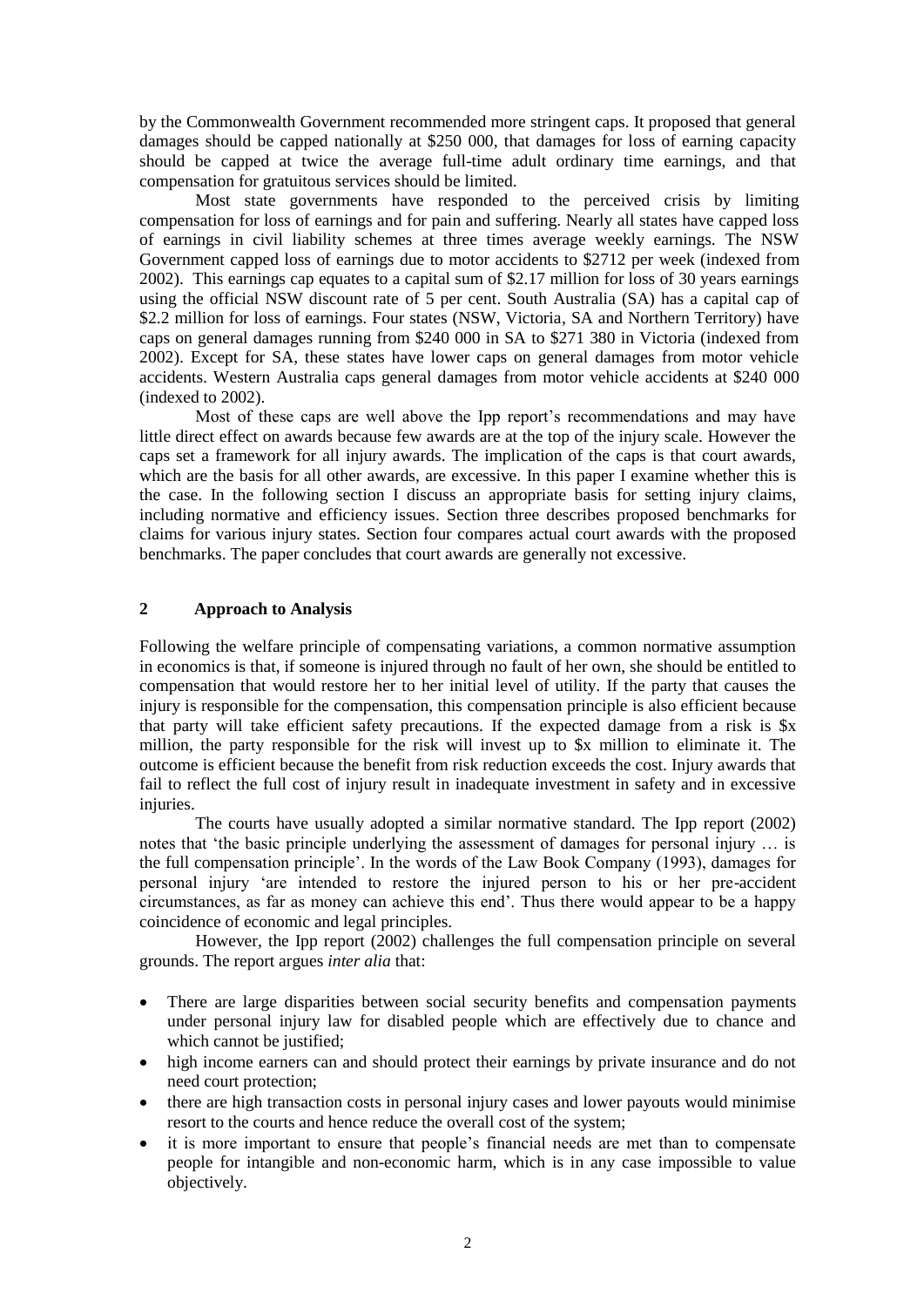by the Commonwealth Government recommended more stringent caps. It proposed that general damages should be capped nationally at \$250 000, that damages for loss of earning capacity should be capped at twice the average full-time adult ordinary time earnings, and that compensation for gratuitous services should be limited.

Most state governments have responded to the perceived crisis by limiting compensation for loss of earnings and for pain and suffering. Nearly all states have capped loss of earnings in civil liability schemes at three times average weekly earnings. The NSW Government capped loss of earnings due to motor accidents to \$2712 per week (indexed from 2002). This earnings cap equates to a capital sum of \$2.17 million for loss of 30 years earnings using the official NSW discount rate of 5 per cent. South Australia (SA) has a capital cap of \$2.2 million for loss of earnings. Four states (NSW, Victoria, SA and Northern Territory) have caps on general damages running from \$240 000 in SA to \$271 380 in Victoria (indexed from 2002). Except for SA, these states have lower caps on general damages from motor vehicle accidents. Western Australia caps general damages from motor vehicle accidents at \$240 000 (indexed to 2002).

Most of these caps are well above the Ipp report's recommendations and may have little direct effect on awards because few awards are at the top of the injury scale. However the caps set a framework for all injury awards. The implication of the caps is that court awards, which are the basis for all other awards, are excessive. In this paper I examine whether this is the case. In the following section I discuss an appropriate basis for setting injury claims, including normative and efficiency issues. Section three describes proposed benchmarks for claims for various injury states. Section four compares actual court awards with the proposed benchmarks. The paper concludes that court awards are generally not excessive.

## **2 Approach to Analysis**

Following the welfare principle of compensating variations, a common normative assumption in economics is that, if someone is injured through no fault of her own, she should be entitled to compensation that would restore her to her initial level of utility. If the party that causes the injury is responsible for the compensation, this compensation principle is also efficient because that party will take efficient safety precautions. If the expected damage from a risk is \$x million, the party responsible for the risk will invest up to \$x million to eliminate it. The outcome is efficient because the benefit from risk reduction exceeds the cost. Injury awards that fail to reflect the full cost of injury result in inadequate investment in safety and in excessive injuries.

The courts have usually adopted a similar normative standard. The Ipp report (2002) notes that 'the basic principle underlying the assessment of damages for personal injury … is the full compensation principle'. In the words of the Law Book Company (1993), damages for personal injury 'are intended to restore the injured person to his or her pre-accident circumstances, as far as money can achieve this end'. Thus there would appear to be a happy coincidence of economic and legal principles.

 However, the Ipp report (2002) challenges the full compensation principle on several grounds. The report argues *inter alia* that:

- There are large disparities between social security benefits and compensation payments under personal injury law for disabled people which are effectively due to chance and which cannot be justified;
- high income earners can and should protect their earnings by private insurance and do not need court protection;
- there are high transaction costs in personal injury cases and lower payouts would minimise resort to the courts and hence reduce the overall cost of the system;
- it is more important to ensure that people's financial needs are met than to compensate people for intangible and non-economic harm, which is in any case impossible to value objectively.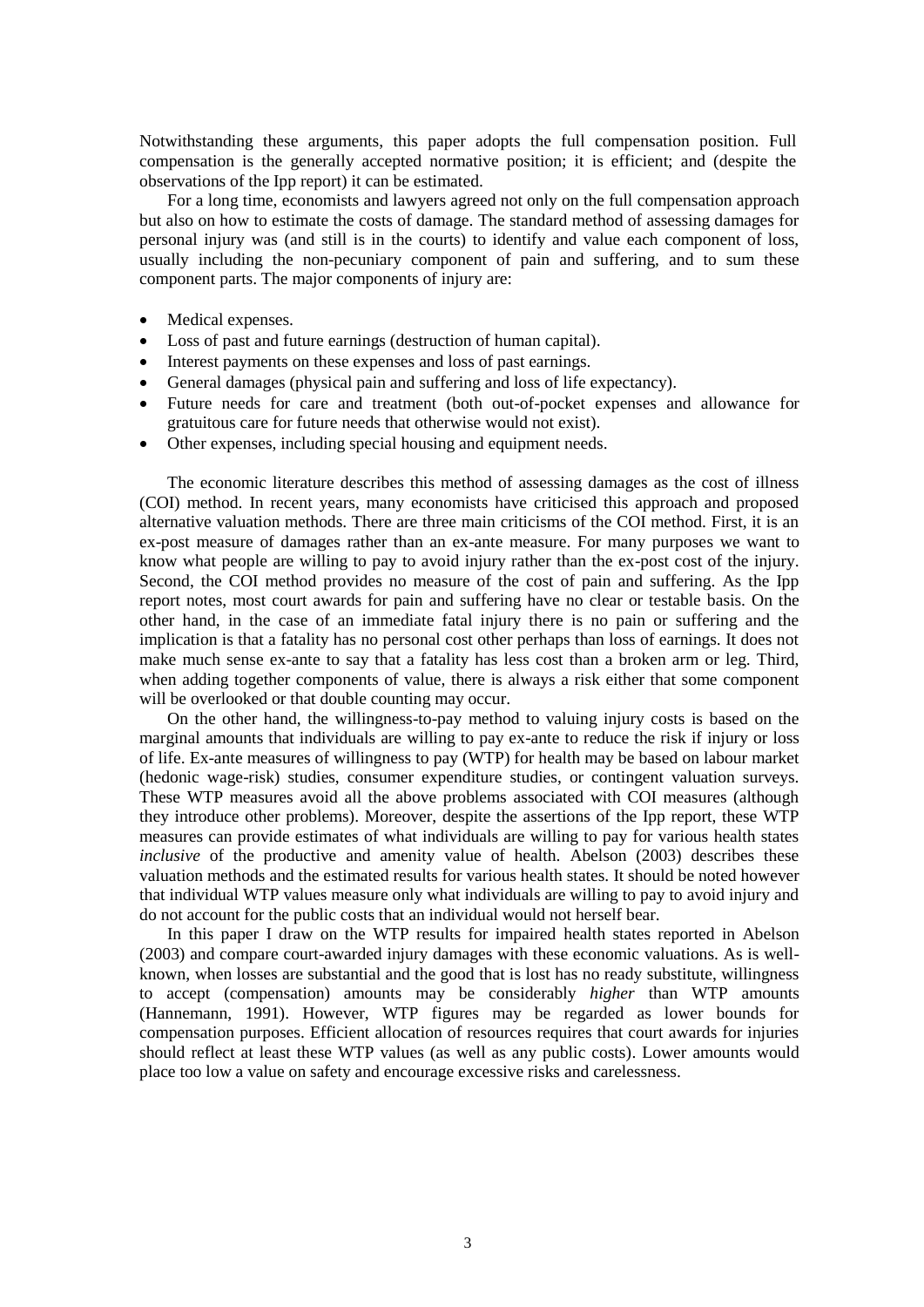Notwithstanding these arguments, this paper adopts the full compensation position. Full compensation is the generally accepted normative position; it is efficient; and (despite the observations of the Ipp report) it can be estimated.

For a long time, economists and lawyers agreed not only on the full compensation approach but also on how to estimate the costs of damage. The standard method of assessing damages for personal injury was (and still is in the courts) to identify and value each component of loss, usually including the non-pecuniary component of pain and suffering, and to sum these component parts. The major components of injury are:

- Medical expenses.
- Loss of past and future earnings (destruction of human capital).
- Interest payments on these expenses and loss of past earnings.
- General damages (physical pain and suffering and loss of life expectancy).
- Future needs for care and treatment (both out-of-pocket expenses and allowance for gratuitous care for future needs that otherwise would not exist).
- Other expenses, including special housing and equipment needs.

The economic literature describes this method of assessing damages as the cost of illness (COI) method. In recent years, many economists have criticised this approach and proposed alternative valuation methods. There are three main criticisms of the COI method. First, it is an ex-post measure of damages rather than an ex-ante measure. For many purposes we want to know what people are willing to pay to avoid injury rather than the ex-post cost of the injury. Second, the COI method provides no measure of the cost of pain and suffering. As the Ipp report notes, most court awards for pain and suffering have no clear or testable basis. On the other hand, in the case of an immediate fatal injury there is no pain or suffering and the implication is that a fatality has no personal cost other perhaps than loss of earnings. It does not make much sense ex-ante to say that a fatality has less cost than a broken arm or leg. Third, when adding together components of value, there is always a risk either that some component will be overlooked or that double counting may occur.

On the other hand, the willingness-to-pay method to valuing injury costs is based on the marginal amounts that individuals are willing to pay ex-ante to reduce the risk if injury or loss of life. Ex-ante measures of willingness to pay (WTP) for health may be based on labour market (hedonic wage-risk) studies, consumer expenditure studies, or contingent valuation surveys. These WTP measures avoid all the above problems associated with COI measures (although they introduce other problems). Moreover, despite the assertions of the Ipp report, these WTP measures can provide estimates of what individuals are willing to pay for various health states *inclusive* of the productive and amenity value of health. Abelson (2003) describes these valuation methods and the estimated results for various health states. It should be noted however that individual WTP values measure only what individuals are willing to pay to avoid injury and do not account for the public costs that an individual would not herself bear.

In this paper I draw on the WTP results for impaired health states reported in Abelson (2003) and compare court-awarded injury damages with these economic valuations. As is wellknown, when losses are substantial and the good that is lost has no ready substitute, willingness to accept (compensation) amounts may be considerably *higher* than WTP amounts (Hannemann, 1991). However, WTP figures may be regarded as lower bounds for compensation purposes. Efficient allocation of resources requires that court awards for injuries should reflect at least these WTP values (as well as any public costs). Lower amounts would place too low a value on safety and encourage excessive risks and carelessness.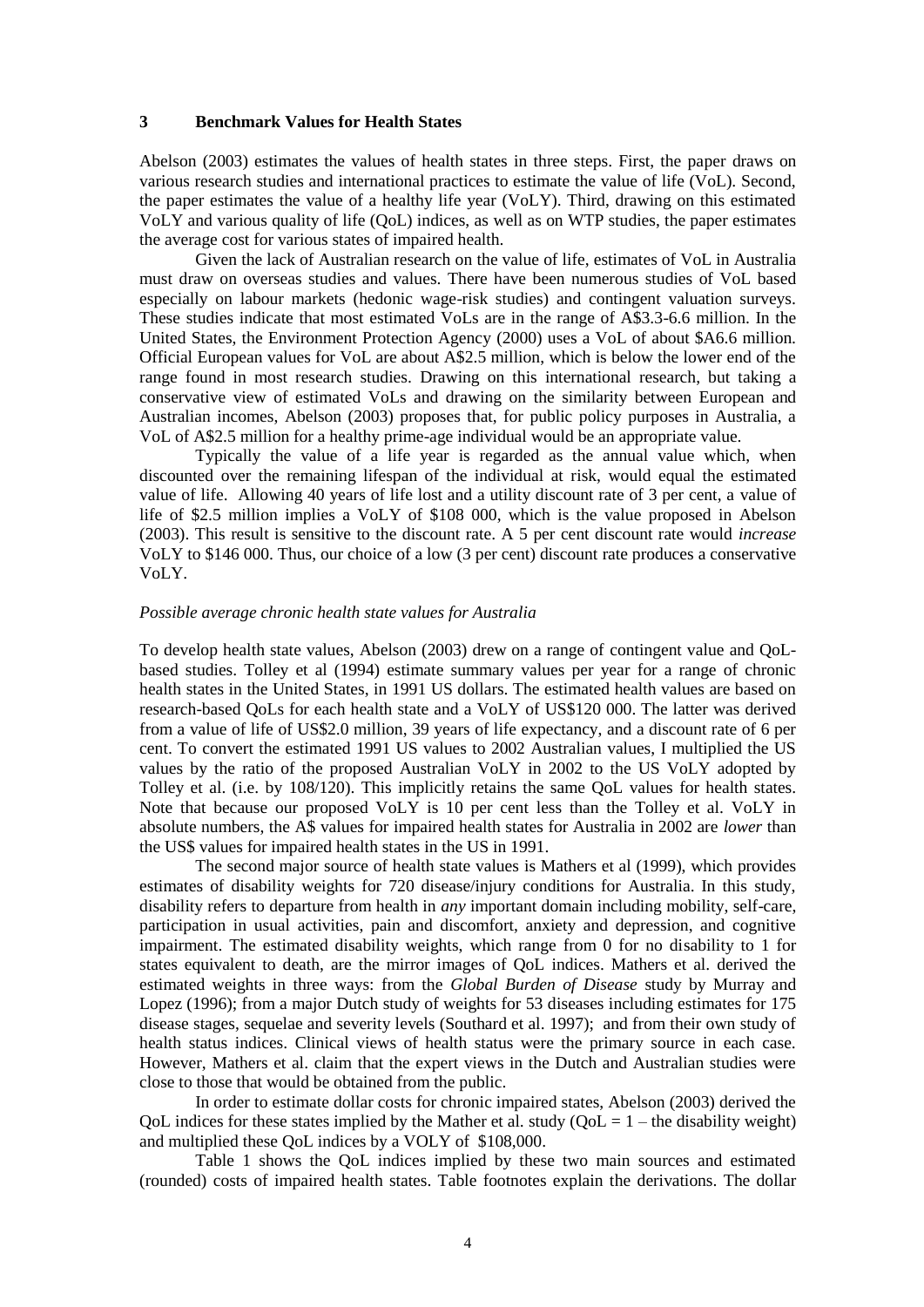### **3 Benchmark Values for Health States**

Abelson (2003) estimates the values of health states in three steps. First, the paper draws on various research studies and international practices to estimate the value of life (VoL). Second, the paper estimates the value of a healthy life year (VoLY). Third, drawing on this estimated VoLY and various quality of life (QoL) indices, as well as on WTP studies, the paper estimates the average cost for various states of impaired health.

Given the lack of Australian research on the value of life, estimates of VoL in Australia must draw on overseas studies and values. There have been numerous studies of VoL based especially on labour markets (hedonic wage-risk studies) and contingent valuation surveys. These studies indicate that most estimated VoLs are in the range of A\$3.3-6.6 million. In the United States, the Environment Protection Agency (2000) uses a VoL of about \$A6.6 million. Official European values for VoL are about A\$2.5 million, which is below the lower end of the range found in most research studies. Drawing on this international research, but taking a conservative view of estimated VoLs and drawing on the similarity between European and Australian incomes, Abelson (2003) proposes that, for public policy purposes in Australia, a VoL of A\$2.5 million for a healthy prime-age individual would be an appropriate value*.*

Typically the value of a life year is regarded as the annual value which, when discounted over the remaining lifespan of the individual at risk, would equal the estimated value of life. Allowing 40 years of life lost and a utility discount rate of 3 per cent, a value of life of \$2.5 million implies a VoLY of \$108 000, which is the value proposed in Abelson (2003). This result is sensitive to the discount rate. A 5 per cent discount rate would *increase* VoLY to \$146 000. Thus, our choice of a low (3 per cent) discount rate produces a conservative VoLY.

#### *Possible average chronic health state values for Australia*

To develop health state values, Abelson (2003) drew on a range of contingent value and QoLbased studies. Tolley et al (1994) estimate summary values per year for a range of chronic health states in the United States, in 1991 US dollars. The estimated health values are based on research-based QoLs for each health state and a VoLY of US\$120 000. The latter was derived from a value of life of US\$2.0 million, 39 years of life expectancy, and a discount rate of 6 per cent. To convert the estimated 1991 US values to 2002 Australian values, I multiplied the US values by the ratio of the proposed Australian VoLY in 2002 to the US VoLY adopted by Tolley et al. (i.e. by 108/120). This implicitly retains the same QoL values for health states. Note that because our proposed VoLY is 10 per cent less than the Tolley et al. VoLY in absolute numbers, the A\$ values for impaired health states for Australia in 2002 are *lower* than the US\$ values for impaired health states in the US in 1991.

The second major source of health state values is Mathers et al (1999), which provides estimates of disability weights for 720 disease/injury conditions for Australia. In this study, disability refers to departure from health in *any* important domain including mobility, self-care, participation in usual activities, pain and discomfort, anxiety and depression, and cognitive impairment. The estimated disability weights, which range from 0 for no disability to 1 for states equivalent to death, are the mirror images of QoL indices. Mathers et al. derived the estimated weights in three ways: from the *Global Burden of Disease* study by Murray and Lopez (1996); from a major Dutch study of weights for 53 diseases including estimates for 175 disease stages, sequelae and severity levels (Southard et al. 1997); and from their own study of health status indices. Clinical views of health status were the primary source in each case. However, Mathers et al. claim that the expert views in the Dutch and Australian studies were close to those that would be obtained from the public.

In order to estimate dollar costs for chronic impaired states, Abelson (2003) derived the QoL indices for these states implied by the Mather et al. study  $(QoL = 1 -$  the disability weight) and multiplied these QoL indices by a VOLY of \$108,000.

Table 1 shows the QoL indices implied by these two main sources and estimated (rounded) costs of impaired health states. Table footnotes explain the derivations. The dollar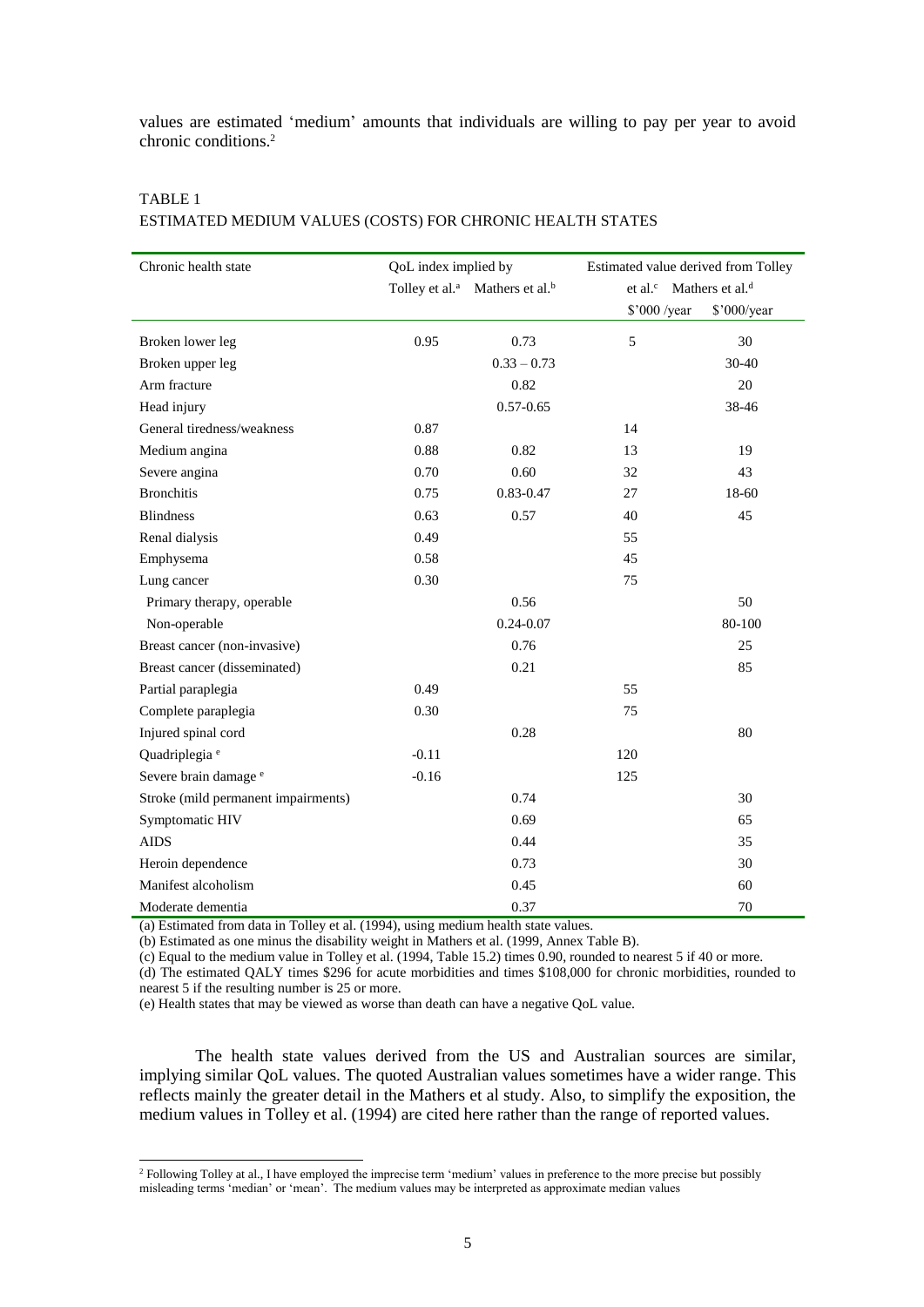values are estimated 'medium' amounts that individuals are willing to pay per year to avoid chronic conditions.<sup>2</sup>

## TABLE 1 ESTIMATED MEDIUM VALUES (COSTS) FOR CHRONIC HEALTH STATES

| Chronic health state                | QoL index implied by |                                                        | Estimated value derived from Tolley             |             |  |
|-------------------------------------|----------------------|--------------------------------------------------------|-------------------------------------------------|-------------|--|
|                                     |                      | Tolley et al. <sup>a</sup> Mathers et al. <sup>b</sup> | et al. <sup>c</sup> Mathers et al. <sup>d</sup> |             |  |
|                                     |                      |                                                        | \$'000 /year                                    | \$'000/year |  |
| Broken lower leg                    | 0.95                 | 0.73                                                   | 5                                               | 30          |  |
| Broken upper leg                    |                      | $0.33 - 0.73$                                          |                                                 | 30-40       |  |
| Arm fracture                        |                      | 0.82                                                   |                                                 | 20          |  |
| Head injury                         |                      | $0.57 - 0.65$                                          |                                                 | 38-46       |  |
| General tiredness/weakness          | 0.87                 |                                                        | 14                                              |             |  |
| Medium angina                       | 0.88                 | 0.82                                                   | 13                                              | 19          |  |
| Severe angina                       | 0.70                 | 0.60                                                   | 32                                              | 43          |  |
| <b>Bronchitis</b>                   | 0.75                 | $0.83 - 0.47$                                          | 27                                              | 18-60       |  |
| <b>Blindness</b>                    | 0.63                 | 0.57                                                   | 40                                              | 45          |  |
| Renal dialysis                      | 0.49                 |                                                        | 55                                              |             |  |
| Emphysema                           | 0.58                 |                                                        | 45                                              |             |  |
| Lung cancer                         | 0.30                 |                                                        | 75                                              |             |  |
| Primary therapy, operable           |                      | 0.56                                                   |                                                 | 50          |  |
| Non-operable                        |                      | $0.24 - 0.07$                                          |                                                 | 80-100      |  |
| Breast cancer (non-invasive)        |                      | 0.76                                                   |                                                 | 25          |  |
| Breast cancer (disseminated)        |                      | 0.21                                                   |                                                 | 85          |  |
| Partial paraplegia                  | 0.49                 |                                                        | 55                                              |             |  |
| Complete paraplegia                 | 0.30                 |                                                        | 75                                              |             |  |
| Injured spinal cord                 |                      | 0.28                                                   |                                                 | 80          |  |
| Quadriplegia <sup>e</sup>           | $-0.11$              |                                                        | 120                                             |             |  |
| Severe brain damage <sup>e</sup>    | $-0.16$              |                                                        | 125                                             |             |  |
| Stroke (mild permanent impairments) |                      | 0.74                                                   |                                                 | 30          |  |
| Symptomatic HIV                     |                      | 0.69                                                   |                                                 | 65          |  |
| <b>AIDS</b>                         |                      | 0.44                                                   |                                                 | 35          |  |
| Heroin dependence                   |                      | 0.73                                                   |                                                 | 30          |  |
| Manifest alcoholism                 |                      | 0.45                                                   |                                                 | 60          |  |
| Moderate dementia                   |                      | 0.37                                                   |                                                 | 70          |  |

(a) Estimated from data in Tolley et al. (1994), using medium health state values.

(b) Estimated as one minus the disability weight in Mathers et al. (1999, Annex Table B).

 $(c)$  Equal to the medium value in Tolley et al. (1994, Table 15.2) times 0.90, rounded to nearest 5 if 40 or more. (d) The estimated QALY times \$296 for acute morbidities and times \$108,000 for chronic morbidities, rounded to

nearest 5 if the resulting number is 25 or more.

l

(e) Health states that may be viewed as worse than death can have a negative QoL value.

The health state values derived from the US and Australian sources are similar, implying similar QoL values. The quoted Australian values sometimes have a wider range. This reflects mainly the greater detail in the Mathers et al study. Also, to simplify the exposition, the medium values in Tolley et al. (1994) are cited here rather than the range of reported values.

<sup>&</sup>lt;sup>2</sup> Following Tolley at al., I have employed the imprecise term 'medium' values in preference to the more precise but possibly misleading terms 'median' or 'mean'. The medium values may be interpreted as approximate median values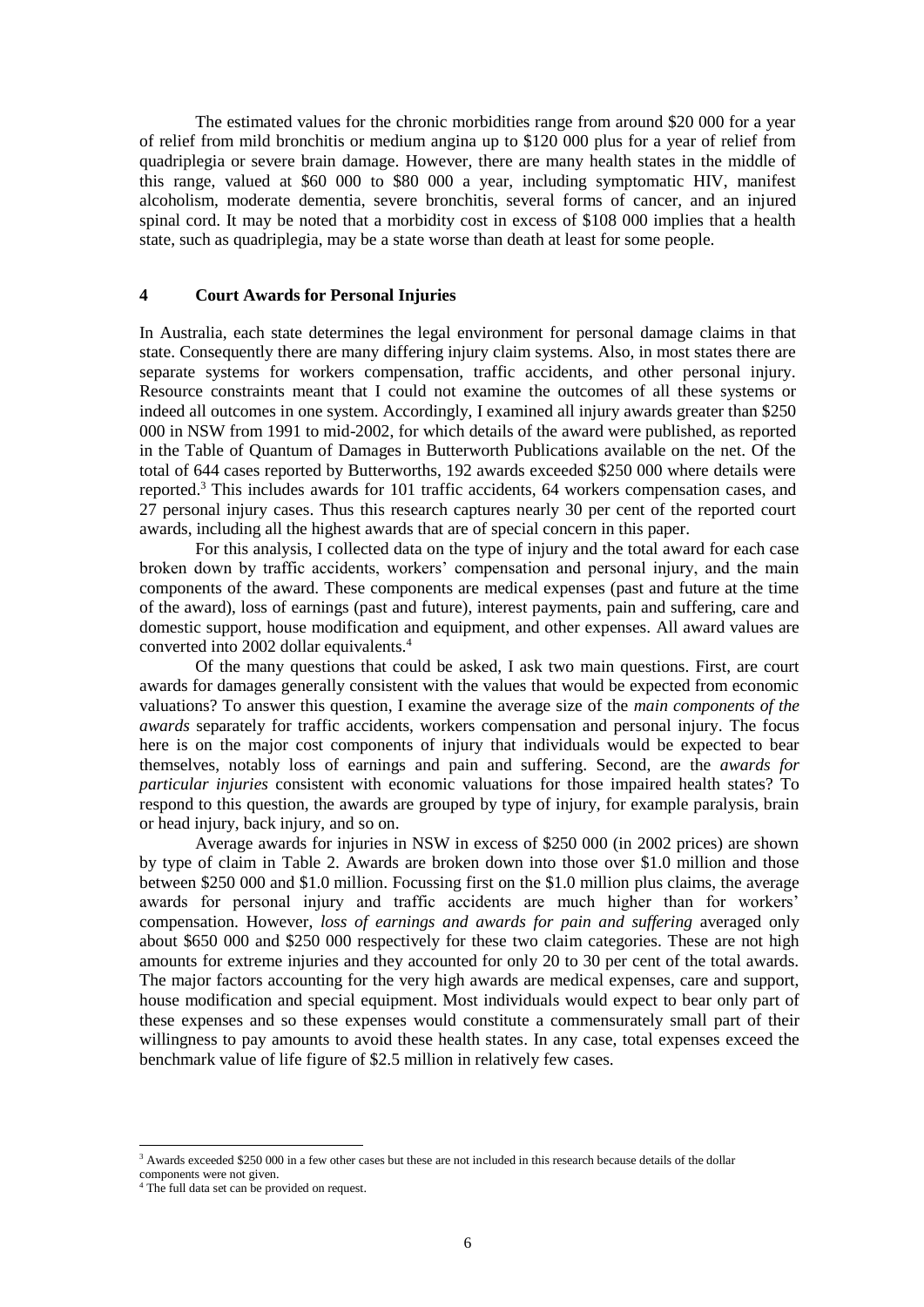The estimated values for the chronic morbidities range from around \$20 000 for a year of relief from mild bronchitis or medium angina up to \$120 000 plus for a year of relief from quadriplegia or severe brain damage. However, there are many health states in the middle of this range, valued at \$60 000 to \$80 000 a year, including symptomatic HIV, manifest alcoholism, moderate dementia, severe bronchitis, several forms of cancer, and an injured spinal cord. It may be noted that a morbidity cost in excess of \$108 000 implies that a health state, such as quadriplegia, may be a state worse than death at least for some people.

### **4 Court Awards for Personal Injuries**

In Australia, each state determines the legal environment for personal damage claims in that state. Consequently there are many differing injury claim systems. Also, in most states there are separate systems for workers compensation, traffic accidents, and other personal injury. Resource constraints meant that I could not examine the outcomes of all these systems or indeed all outcomes in one system. Accordingly, I examined all injury awards greater than \$250 000 in NSW from 1991 to mid-2002, for which details of the award were published, as reported in the Table of Quantum of Damages in Butterworth Publications available on the net. Of the total of 644 cases reported by Butterworths, 192 awards exceeded \$250 000 where details were reported.<sup>3</sup> This includes awards for 101 traffic accidents, 64 workers compensation cases, and 27 personal injury cases. Thus this research captures nearly 30 per cent of the reported court awards, including all the highest awards that are of special concern in this paper.

For this analysis, I collected data on the type of injury and the total award for each case broken down by traffic accidents, workers' compensation and personal injury, and the main components of the award. These components are medical expenses (past and future at the time of the award), loss of earnings (past and future), interest payments, pain and suffering, care and domestic support, house modification and equipment, and other expenses. All award values are converted into 2002 dollar equivalents.<sup>4</sup>

Of the many questions that could be asked, I ask two main questions. First, are court awards for damages generally consistent with the values that would be expected from economic valuations? To answer this question, I examine the average size of the *main components of the awards* separately for traffic accidents, workers compensation and personal injury. The focus here is on the major cost components of injury that individuals would be expected to bear themselves, notably loss of earnings and pain and suffering. Second, are the *awards for particular injuries* consistent with economic valuations for those impaired health states? To respond to this question, the awards are grouped by type of injury, for example paralysis, brain or head injury, back injury, and so on.

Average awards for injuries in NSW in excess of \$250 000 (in 2002 prices) are shown by type of claim in Table 2. Awards are broken down into those over \$1.0 million and those between \$250 000 and \$1.0 million. Focussing first on the \$1.0 million plus claims, the average awards for personal injury and traffic accidents are much higher than for workers' compensation. However, *loss of earnings and awards for pain and suffering* averaged only about \$650 000 and \$250 000 respectively for these two claim categories. These are not high amounts for extreme injuries and they accounted for only 20 to 30 per cent of the total awards. The major factors accounting for the very high awards are medical expenses, care and support, house modification and special equipment. Most individuals would expect to bear only part of these expenses and so these expenses would constitute a commensurately small part of their willingness to pay amounts to avoid these health states. In any case, total expenses exceed the benchmark value of life figure of \$2.5 million in relatively few cases.

l

<sup>&</sup>lt;sup>3</sup> Awards exceeded \$250,000 in a few other cases but these are not included in this research because details of the dollar components were not given.

<sup>&</sup>lt;sup>4</sup> The full data set can be provided on request.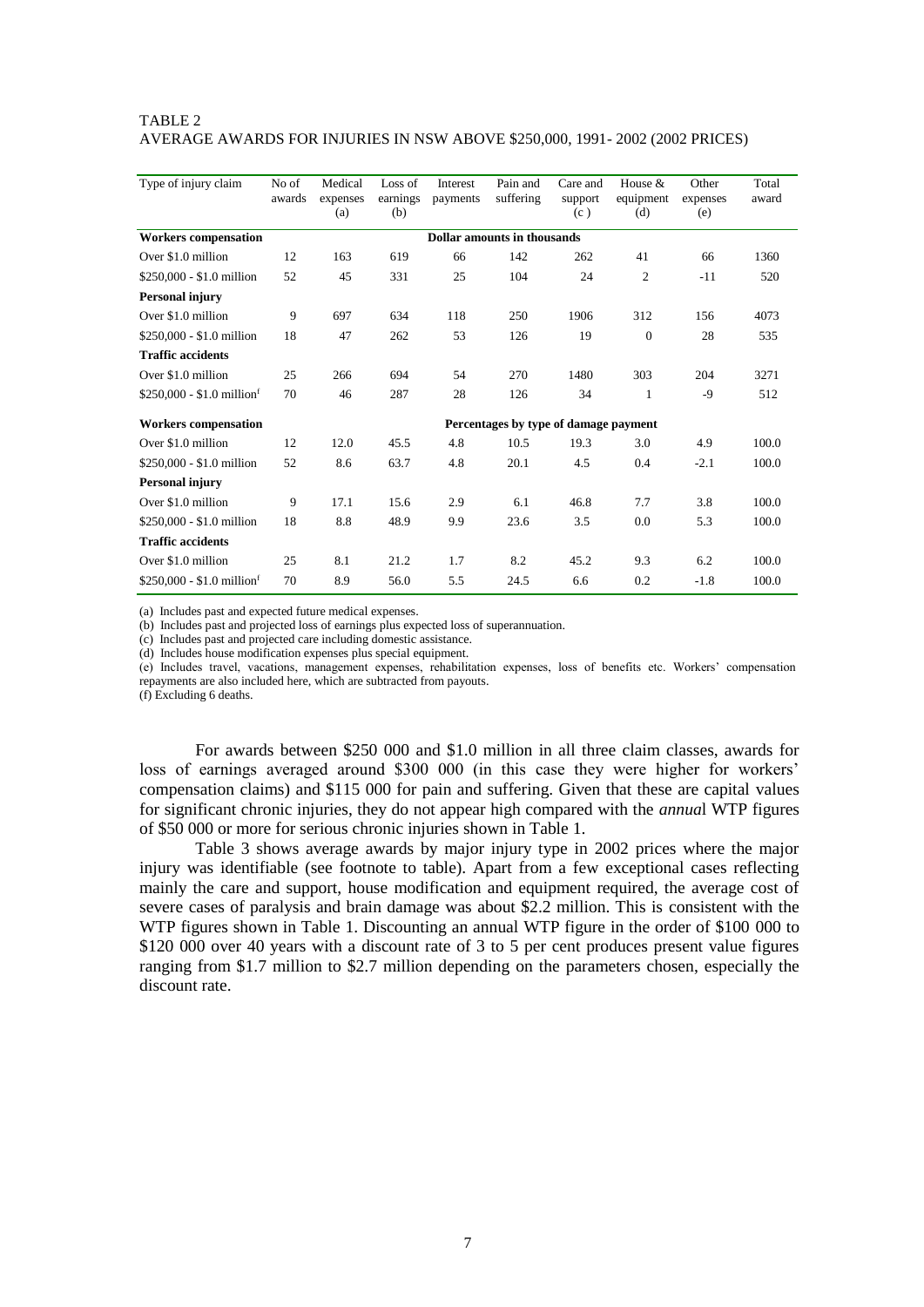### TABLE 2 AVERAGE AWARDS FOR INJURIES IN NSW ABOVE \$250,000, 1991- 2002 (2002 PRICES)

| Type of injury claim                | No of<br>awards             | Medical<br>expenses<br>(a)            | Loss of<br>earnings<br>(b) | Interest<br>payments | Pain and<br>suffering | Care and<br>support<br>(c) | House $&$<br>equipment<br>(d) | Other<br>expenses<br>(e) | Total<br>award |
|-------------------------------------|-----------------------------|---------------------------------------|----------------------------|----------------------|-----------------------|----------------------------|-------------------------------|--------------------------|----------------|
| <b>Workers</b> compensation         | Dollar amounts in thousands |                                       |                            |                      |                       |                            |                               |                          |                |
| Over \$1.0 million                  | 12                          | 163                                   | 619                        | 66                   | 142                   | 262                        | 41                            | 66                       | 1360           |
| \$250,000 - \$1.0 million           | 52                          | 45                                    | 331                        | 25                   | 104                   | 24                         | 2                             | $-11$                    | 520            |
| <b>Personal injury</b>              |                             |                                       |                            |                      |                       |                            |                               |                          |                |
| Over \$1.0 million                  | 9                           | 697                                   | 634                        | 118                  | 250                   | 1906                       | 312                           | 156                      | 4073           |
| \$250,000 - \$1.0 million           | 18                          | 47                                    | 262                        | 53                   | 126                   | 19                         | $\overline{0}$                | 28                       | 535            |
| <b>Traffic accidents</b>            |                             |                                       |                            |                      |                       |                            |                               |                          |                |
| Over \$1.0 million                  | 25                          | 266                                   | 694                        | 54                   | 270                   | 1480                       | 303                           | 204                      | 3271           |
| $$250,000 - $1.0 \text{ million}^f$ | 70                          | 46                                    | 287                        | 28                   | 126                   | 34                         | 1                             | $-9$                     | 512            |
| <b>Workers compensation</b>         |                             | Percentages by type of damage payment |                            |                      |                       |                            |                               |                          |                |
| Over \$1.0 million                  | 12                          | 12.0                                  | 45.5                       | 4.8                  | 10.5                  | 19.3                       | 3.0                           | 4.9                      | 100.0          |
| \$250,000 - \$1.0 million           | 52                          | 8.6                                   | 63.7                       | 4.8                  | 20.1                  | 4.5                        | 0.4                           | $-2.1$                   | 100.0          |
| <b>Personal injury</b>              |                             |                                       |                            |                      |                       |                            |                               |                          |                |
| Over \$1.0 million                  | 9                           | 17.1                                  | 15.6                       | 2.9                  | 6.1                   | 46.8                       | 7.7                           | 3.8                      | 100.0          |
| \$250,000 - \$1.0 million           | 18                          | 8.8                                   | 48.9                       | 9.9                  | 23.6                  | 3.5                        | 0.0                           | 5.3                      | 100.0          |
| <b>Traffic accidents</b>            |                             |                                       |                            |                      |                       |                            |                               |                          |                |
| Over \$1.0 million                  | 25                          | 8.1                                   | 21.2                       | 1.7                  | 8.2                   | 45.2                       | 9.3                           | 6.2                      | 100.0          |
| $$250,000 - $1.0 \text{ million}^f$ | 70                          | 8.9                                   | 56.0                       | 5.5                  | 24.5                  | 6.6                        | 0.2                           | $-1.8$                   | 100.0          |

(a) Includes past and expected future medical expenses.

(b) Includes past and projected loss of earnings plus expected loss of superannuation.

(c) Includes past and projected care including domestic assistance.

(d) Includes house modification expenses plus special equipment.

(e) Includes travel, vacations, management expenses, rehabilitation expenses, loss of benefits etc. Workers' compensation repayments are also included here, which are subtracted from payouts.

(f) Excluding 6 deaths.

For awards between \$250 000 and \$1.0 million in all three claim classes, awards for loss of earnings averaged around \$300 000 (in this case they were higher for workers' compensation claims) and \$115 000 for pain and suffering. Given that these are capital values for significant chronic injuries, they do not appear high compared with the *annua*l WTP figures of \$50 000 or more for serious chronic injuries shown in Table 1.

Table 3 shows average awards by major injury type in 2002 prices where the major injury was identifiable (see footnote to table). Apart from a few exceptional cases reflecting mainly the care and support, house modification and equipment required, the average cost of severe cases of paralysis and brain damage was about \$2.2 million. This is consistent with the WTP figures shown in Table 1. Discounting an annual WTP figure in the order of \$100 000 to \$120 000 over 40 years with a discount rate of 3 to 5 per cent produces present value figures ranging from \$1.7 million to \$2.7 million depending on the parameters chosen, especially the discount rate.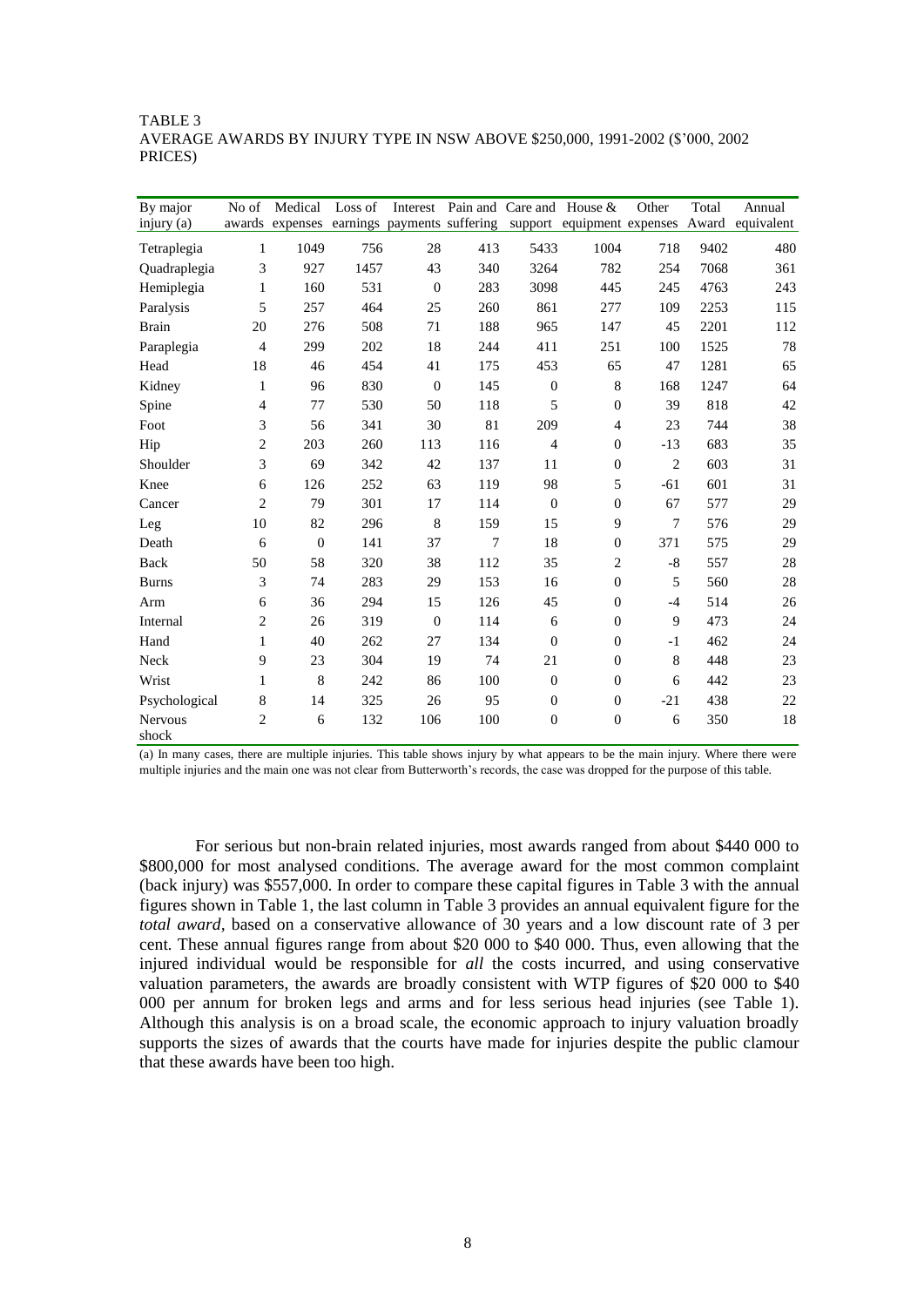### TABLE 3 AVERAGE AWARDS BY INJURY TYPE IN NSW ABOVE \$250,000, 1991-2002 (\$'000, 2002 PRICES)

| By major         | No of                       | Medical      | Loss of |              |        |                  | Interest Pain and Care and House & | Other          | Total | Annual                                                                                  |
|------------------|-----------------------------|--------------|---------|--------------|--------|------------------|------------------------------------|----------------|-------|-----------------------------------------------------------------------------------------|
| injury $(a)$     |                             |              |         |              |        |                  |                                    |                |       | awards expenses earnings payments suffering support equipment expenses Award equivalent |
| Tetraplegia      | 1                           | 1049         | 756     | 28           | 413    | 5433             | 1004                               | 718            | 9402  | 480                                                                                     |
| Quadraplegia     | 3                           | 927          | 1457    | 43           | 340    | 3264             | 782                                | 254            | 7068  | 361                                                                                     |
| Hemiplegia       | 1                           | 160          | 531     | $\mathbf{0}$ | 283    | 3098             | 445                                | 245            | 4763  | 243                                                                                     |
| Paralysis        | 5                           | 257          | 464     | 25           | 260    | 861              | 277                                | 109            | 2253  | 115                                                                                     |
| <b>Brain</b>     | 20                          | 276          | 508     | 71           | 188    | 965              | 147                                | 45             | 2201  | 112                                                                                     |
| Paraplegia       | $\overline{4}$              | 299          | 202     | 18           | 244    | 411              | 251                                | 100            | 1525  | 78                                                                                      |
| Head             | 18                          | 46           | 454     | 41           | 175    | 453              | 65                                 | 47             | 1281  | 65                                                                                      |
| Kidney           | $\mathbf{1}$                | 96           | 830     | $\mathbf{0}$ | 145    | $\mathbf{0}$     | $\,8\,$                            | 168            | 1247  | 64                                                                                      |
| Spine            | $\overline{4}$              | 77           | 530     | 50           | 118    | 5                | $\mathbf{0}$                       | 39             | 818   | 42                                                                                      |
| Foot             | $\ensuremath{\mathfrak{Z}}$ | 56           | 341     | 30           | 81     | 209              | $\overline{4}$                     | 23             | 744   | 38                                                                                      |
| Hip              | $\sqrt{2}$                  | 203          | 260     | 113          | 116    | $\overline{4}$   | $\boldsymbol{0}$                   | $-13$          | 683   | 35                                                                                      |
| Shoulder         | 3                           | 69           | 342     | 42           | 137    | 11               | $\boldsymbol{0}$                   | $\overline{2}$ | 603   | 31                                                                                      |
| Knee             | 6                           | 126          | 252     | 63           | 119    | 98               | 5                                  | $-61$          | 601   | 31                                                                                      |
| Cancer           | $\mathfrak{2}$              | 79           | 301     | 17           | 114    | $\mathbf{0}$     | $\mathbf{0}$                       | 67             | 577   | 29                                                                                      |
| Leg              | 10                          | 82           | 296     | $\,8\,$      | 159    | 15               | 9                                  | 7              | 576   | 29                                                                                      |
| Death            | 6                           | $\mathbf{0}$ | 141     | 37           | $\tau$ | 18               | $\mathbf{0}$                       | 371            | 575   | 29                                                                                      |
| Back             | 50                          | 58           | 320     | 38           | 112    | 35               | 2                                  | $-8$           | 557   | 28                                                                                      |
| <b>Burns</b>     | 3                           | 74           | 283     | 29           | 153    | 16               | $\mathbf{0}$                       | 5              | 560   | 28                                                                                      |
| Arm              | 6                           | 36           | 294     | 15           | 126    | 45               | $\mathbf{0}$                       | $-4$           | 514   | 26                                                                                      |
| Internal         | $\mathfrak{2}$              | 26           | 319     | $\mathbf{0}$ | 114    | 6                | $\boldsymbol{0}$                   | 9              | 473   | 24                                                                                      |
| Hand             | $\mathbf{1}$                | 40           | 262     | 27           | 134    | $\Omega$         | $\mathbf{0}$                       | $-1$           | 462   | 24                                                                                      |
| Neck             | 9                           | 23           | 304     | 19           | 74     | 21               | $\mathbf{0}$                       | 8              | 448   | 23                                                                                      |
| Wrist            | $\mathbf{1}$                | 8            | 242     | 86           | 100    | $\mathbf{0}$     | $\mathbf{0}$                       | 6              | 442   | 23                                                                                      |
| Psychological    | 8                           | 14           | 325     | 26           | 95     | $\overline{0}$   | $\mathbf{0}$                       | $-21$          | 438   | 22                                                                                      |
| Nervous<br>shock | $\overline{2}$              | 6            | 132     | 106          | 100    | $\boldsymbol{0}$ | $\boldsymbol{0}$                   | 6              | 350   | 18                                                                                      |

(a) In many cases, there are multiple injuries. This table shows injury by what appears to be the main injury. Where there were multiple injuries and the main one was not clear from Butterworth's records, the case was dropped for the purpose of this table.

For serious but non-brain related injuries, most awards ranged from about \$440 000 to \$800,000 for most analysed conditions. The average award for the most common complaint (back injury) was \$557,000. In order to compare these capital figures in Table 3 with the annual figures shown in Table 1, the last column in Table 3 provides an annual equivalent figure for the *total award,* based on a conservative allowance of 30 years and a low discount rate of 3 per cent*.* These annual figures range from about \$20 000 to \$40 000. Thus, even allowing that the injured individual would be responsible for *all* the costs incurred, and using conservative valuation parameters, the awards are broadly consistent with WTP figures of \$20 000 to \$40 000 per annum for broken legs and arms and for less serious head injuries (see Table 1). Although this analysis is on a broad scale, the economic approach to injury valuation broadly supports the sizes of awards that the courts have made for injuries despite the public clamour that these awards have been too high.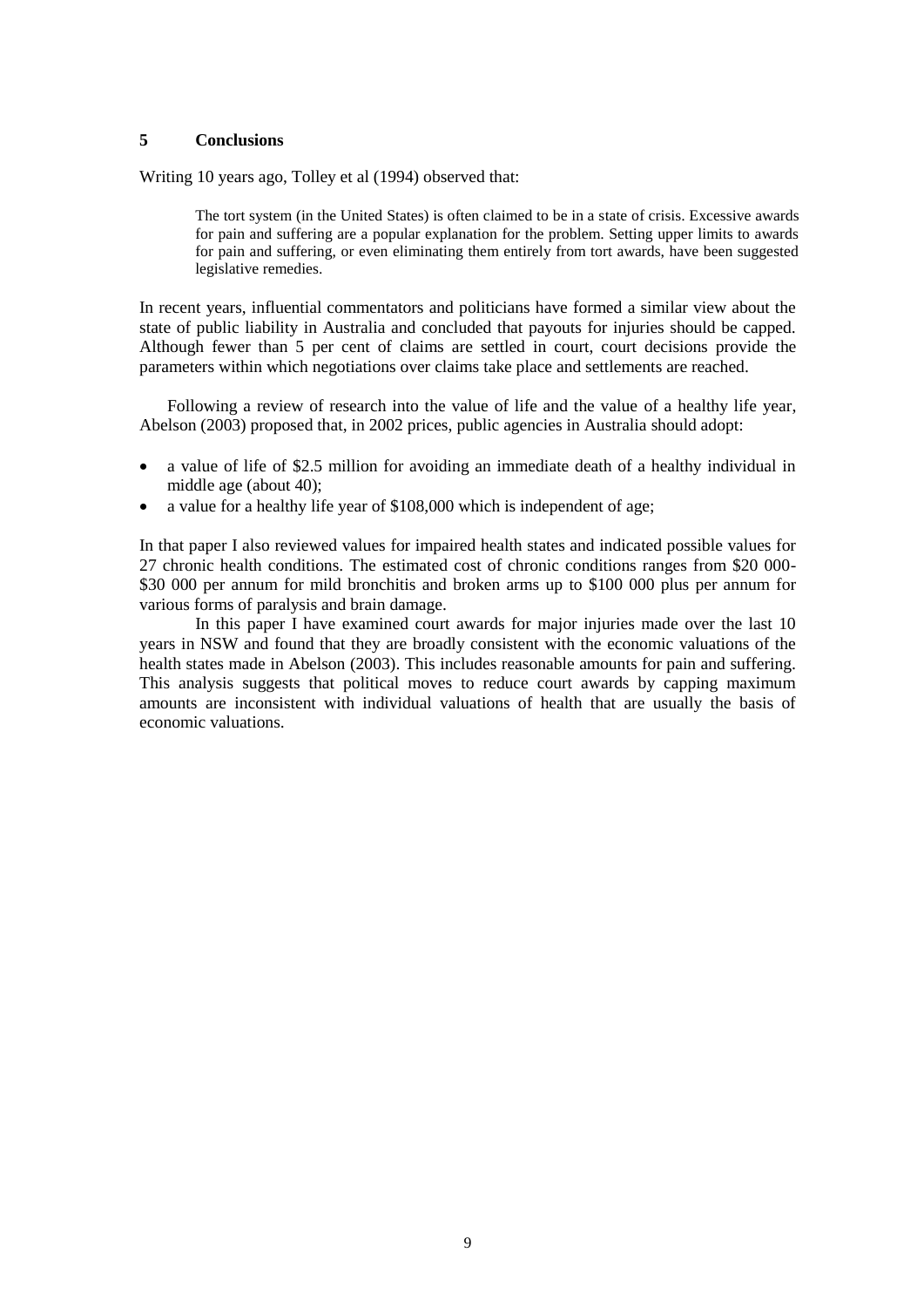## **5 Conclusions**

Writing 10 years ago, Tolley et al (1994) observed that:

The tort system (in the United States) is often claimed to be in a state of crisis. Excessive awards for pain and suffering are a popular explanation for the problem. Setting upper limits to awards for pain and suffering, or even eliminating them entirely from tort awards, have been suggested legislative remedies.

In recent years, influential commentators and politicians have formed a similar view about the state of public liability in Australia and concluded that payouts for injuries should be capped. Although fewer than 5 per cent of claims are settled in court, court decisions provide the parameters within which negotiations over claims take place and settlements are reached.

Following a review of research into the value of life and the value of a healthy life year, Abelson (2003) proposed that, in 2002 prices, public agencies in Australia should adopt:

- a value of life of \$2.5 million for avoiding an immediate death of a healthy individual in middle age (about 40);
- a value for a healthy life year of \$108,000 which is independent of age;

In that paper I also reviewed values for impaired health states and indicated possible values for 27 chronic health conditions. The estimated cost of chronic conditions ranges from \$20 000- \$30 000 per annum for mild bronchitis and broken arms up to \$100 000 plus per annum for various forms of paralysis and brain damage.

In this paper I have examined court awards for major injuries made over the last 10 years in NSW and found that they are broadly consistent with the economic valuations of the health states made in Abelson (2003). This includes reasonable amounts for pain and suffering. This analysis suggests that political moves to reduce court awards by capping maximum amounts are inconsistent with individual valuations of health that are usually the basis of economic valuations.